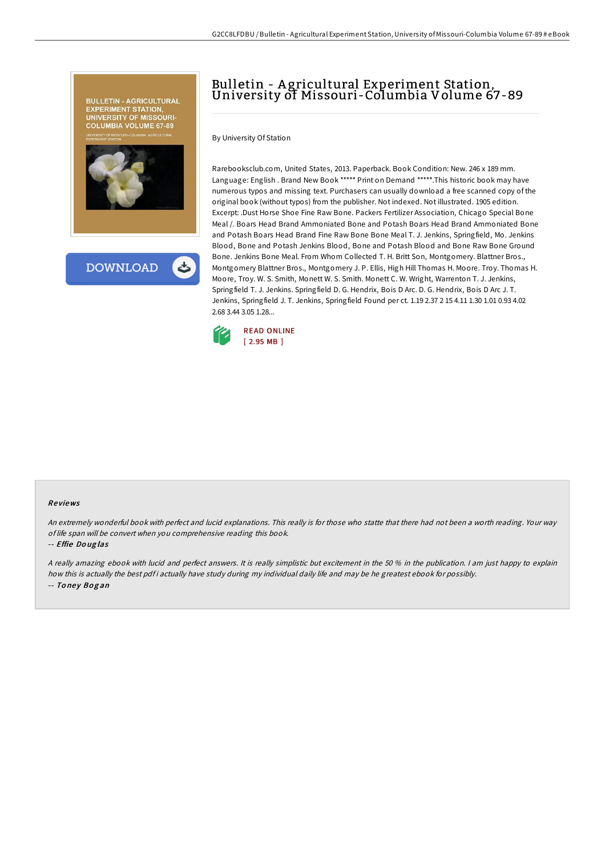



# Bulletin - <sup>A</sup> gricultural Experiment Station, University of Missouri-Columbia Volume 67-89

By University Of Station

Rarebooksclub.com, United States, 2013. Paperback. Book Condition: New. 246 x 189 mm. Language: English . Brand New Book \*\*\*\*\* Print on Demand \*\*\*\*\*. This historic book may have numerous typos and missing text. Purchasers can usually download a free scanned copy of the original book (without typos) from the publisher. Not indexed. Not illustrated. 1905 edition. Excerpt: .Dust Horse Shoe Fine Raw Bone. Packers Fertilizer Association, Chicago Special Bone Meal /. Boars Head Brand Ammoniated Bone and Potash Boars Head Brand Ammoniated Bone and Potash Boars Head Brand Fine Raw Bone Bone Meal T. J. Jenkins, Springfield, Mo. Jenkins Blood, Bone and Potash Jenkins Blood, Bone and Potash Blood and Bone Raw Bone Ground Bone. Jenkins Bone Meal. From Whom Collected T. H. Britt Son, Montgomery. Blattner Bros., Montgomery Blattner Bros., Montgomery J. P. Ellis, High Hill Thomas H. Moore. Troy. Thomas H. Moore, Troy. W. S. Smith, Monett W. S. Smith. Monett C. W. Wright, Warrenton T. J. Jenkins, Springfield T. J. Jenkins. Springfield D. G. Hendrix, Bois D Arc. D. G. Hendrix, Bois D Arc J. T. Jenkins, Springfield J. T. Jenkins, Springfield Found per ct. 1.19 2.37 2 15 4.11 1.30 1.01 0.93 4.02 2.68 3.44 3.05 1.28...



#### Re views

An extremely wonderful book with perfect and lucid explanations. This really is for those who statte that there had not been <sup>a</sup> worth reading. Your way of life span will be convert when you comprehensive reading this book.

-- Effie Do ug las

<sup>A</sup> really amazing ebook with lucid and perfect answers. It is really simplistic but excitement in the 50 % in the publication. <sup>I</sup> am just happy to explain how this is actually the best pdfi actually have study during my individual daily life and may be he greatest ebook for possibly. -- Toney Bogan